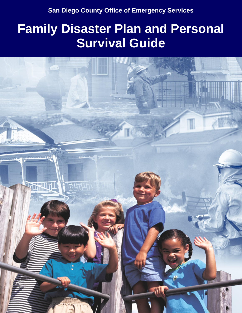**San Diego County Office of Emergency Services** 

# **Family Disaster Plan and Personal Survival Guide**

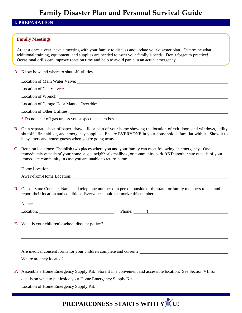### **I. PREPARATION**

#### **Family Meetings**

At least once a year, have a meeting with your family to discuss and update your disaster plan. Determine what additional training, equipment, and supplies are needed to meet your family's needs. Don't forget to practice! Occasional drills can improve reaction time and help to avoid panic in an actual emergency.

**A.** Know how and where to shut off utilities.

| Location of Main Water Valve: 1988. [19] Main Water Valve: 1988. [19] Main Water Valve: 1988. [19] Main Water Valve: 1988. [19] Main Water Valve: 1998. [19] Main Water Valve: 1998. [19] Main Water Valve: 1998. [19] Main Wa |
|--------------------------------------------------------------------------------------------------------------------------------------------------------------------------------------------------------------------------------|
|                                                                                                                                                                                                                                |
|                                                                                                                                                                                                                                |
|                                                                                                                                                                                                                                |
| Location of Other Utilities:                                                                                                                                                                                                   |

\* Do not shut off gas unless you suspect a leak exists.

- **B.** On a separate sheet of paper, draw a floor plan of your home showing the location of exit doors and windows, utility shutoffs, first aid kit, and emergency supplies. Ensure EVERYONE in your household is familiar with it. Show it to babysitters and house guests when you're going away.
- **C.** Reunion locations: Establish two places where you and your family can meet following an emergency. One immediately outside of your home, e.g. a neighbor's mailbox, or community park **AND** another site outside of your immediate community in case you are unable to return home.

Home Location:

Away-from-Home Location:

**D.** Out-of-State Contact: Name and telephone number of a person outside of the state for family members to call and report their location and condition. Everyone should memorize this number!

**E.** What is your children's school disaster policy?

Are medical consent forms for your children complete and current?

Where are they located?

**F.** Assemble a Home Emergency Supply Kit. Store it in a convenient and accessible location. See Section VII for details on what to put inside your Home Emergency Supply Kit.

Location of Home Emergency Supply Kit: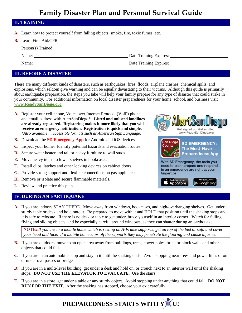#### **II. TRAINING**

- **A.** Learn how to protect yourself from falling objects, smoke, fire, toxic fumes, etc.
- **B.** Learn First Aid/CPR

Person(s) Trained:

Name: <u>Name:</u> Date Training Expires:

Name: Date Training Expires:

### **III. BEFORE A DISASTER**

There are many different kinds of disasters, such as earthquakes, fires, floods, airplane crashes, chemical spills, and explosions, which seldom give warning and can be equally devastating to their victims. Although this guide is primarily about earthquake preparation, the steps you take will help your family prepare for any type of disaster that could strike in your community. For additional information on local disaster preparedness for your home, school, and business visit **[www.ReadySanDiego.org](http://www.readysandiego.org/)**.

- **A.** Register your cell phone, Voice over Internet Protocol (VoIP) phone, and email address with AlertSanDiego\*. **Listed and unlisted landlines are already registered. Registering makes it more likely that you will receive an emergency notification. Registration is quick and simple.** *\*Also available in accessible formats such as American Sign Language.*
- **B.** Download the **SD Emergency App** for Android and iOS devices.
- **C.** Inspect your home. Identify potential hazards and evacuation routes.
- **D.** Secure water heater and tall or heavy furniture to wall studs.
- **E.** Move heavy items to lower shelves in bookcases.
- **F.** Install clips, latches and other locking devices on cabinet doors.
- **G.** Provide strong support and flexible connections on gas appliances.
- **H.** Remove or isolate and secure flammable materials.
- **I.** Review and practice this plan.

#### **IV. DURING AN EARTHQUAKE**



**A.** If you are indoors STAY THERE. Move away from windows, bookcases, and high/overhanging shelves. Get under a sturdy table or desk and hold onto it. Be prepared to move with it and HOLD that position until the shaking stops and it is safe to relocate. If there is no desk or table to get under, brace yourself in an interior corner. Watch for falling, flying and sliding objects, and be especially careful around windows, as they can shatter during an earthquake.

**NOTE:** *If you are in a mobile home which is resting on A-Frame supports, get on top of the bed or sofa and cover your head and face. If a mobile home slips off the supports they may penetrate the flooring and cause injuries*.

- **B.** If you are outdoors, move to an open area away from buildings, trees, power poles, brick or block walls and other objects that could fall.
- **C.** If you are in an automobile, stop and stay in it until the shaking ends. Avoid stopping near trees and power lines or on or under overpasses or bridges.
- **D.** If you are in a multi-level building, get under a desk and hold on, or crouch next to an interior wall until the shaking stops. **DO NOT USE THE ELEVATOR TO EVACUATE**. Use the stairs.
- **E.** If you are in a store, get under a table or any sturdy object. Avoid stopping under anything that could fall. **DO NOT RUN FOR THE EXIT.** After the shaking has stopped, choose your exit carefully.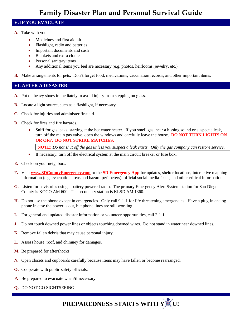# **V. IF YOU EVACUATE**

- **A.** Take with you:
	- Medicines and first aid kit
	- Flashlight, radio and batteries
	- Important documents and cash
	- Blankets and extra clothes
	- Personal sanitary items
	- Any additional items you feel are necessary (e.g. photos, heirlooms, jewelry, etc.)
- **B.** Make arrangements for pets. Don't forget food, medications, vaccination records, and other important items.

### **VI. AFTER A DISASTER**

- **A.** Put on heavy shoes immediately to avoid injury from stepping on glass.
- **B.** Locate a light source, such as a flashlight, if necessary.
- **C.** Check for injuries and administer first aid.
- **D.** Check for fires and fire hazards.
	- Sniff for gas leaks, starting at the hot water heater. If you smell gas, hear a hissing sound or suspect a leak, turn off the main gas valve, open the windows and carefully leave the house. **DO NOT TURN LIGHTS ON OR OFF. DO NOT STRIKE MATCHES.**

**NOTE:** *Do not shut off the gas unless you suspect a leak exists. Only the gas company can restore service.*

- If necessary, turn off the electrical system at the main circuit breaker or fuse box.
- **E.** Check on your neighbors.
- **F.** Visit **www.SDCountyEmergency.com** or the **SD Emergency App** for updates, shelter locations, interactive mapping information (e.g. evacuation areas and hazard perimeters), official social media feeds, and other critical information.
- **G.** Listen for advisories using a battery powered radio. The primary Emergency Alert System station for San Diego County is KOGO AM 600. The secondary station is KLSD AM 1360.
- **H.** Do not use the phone except in emergencies. Only call 9-1-1 for life threatening emergencies. Have a plug-in analog phone in case the power is out, but phone lines are still working.
- **I.** For general and updated disaster information or volunteer opportunities, call 2-1-1.
- **J.** Do not touch downed power lines or objects touching downed wires. Do not stand in water near downed lines.
- **K.** Remove fallen debris that may cause personal injury.
- **L.** Assess house, roof, and chimney for damages.
- **M.** Be prepared for aftershocks.
- **N.** Open closets and cupboards carefully because items may have fallen or become rearranged.
- **O.** Cooperate with public safety officials.
- **P.** Be prepared to evacuate when/if necessary.
- **Q.** DO NOT GO SIGHTSEEING!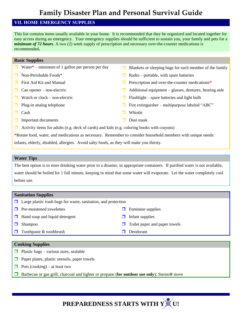### **VII. HOME EMERGENCY SUPPLIES**

This list contains items usually available in your home. It is recommended that they be organized and located together for easy access during an emergency. Your emergency supplies should be sufficient to sustain you, your family and pets for a *minimum of 72 hours.* A two (2) week supply of prescription and necessary over-the-counter medications is recommended**.**

#### **Basic Supplies**

- $\Box$  Water\* minimum of 1 gallon per person per day  $\Box$  Blankets or sleeping bags for each member of the family
- 
- 
- 
- 
- 
- 
- $\Box$  Important documents  $\Box$  Dust mask
- 
- Non-Perishable Foods<sup>\*</sup> Radio portable, with spare batteries
- **First Aid Kit and Manual Prescription and over-the-counter medications Prescription and over-the-counter medications**
- $\Box$  Can opener non-electric  $\Box$  Additional equipment glasses, dentures, hearing aids
- $\Box$  Watch or clock non-electric  $\Box$  Flashlight spare batteries and light bulb
- **Plug-in analog telephone Fire extinguisher multipurpose labeled "ABC"** Fire extinguisher multipurpose labeled "ABC"
- Cash Whistle
	-
- $\Box$  Activity items for adults (e.g. deck of cards) and kids (e.g. coloring books with crayons)

**\***Rotate food, water, and medications as necessary. Remember to consider household members with unique needs:

infants, elderly, disabled, allergies. Avoid salty foods, as they will make you thirsty.

#### **Water Tips**

The best option is to store drinking water prior to a disaster, in appropriate containers. If purified water is not available, water should be boiled for 1 full minute, keeping in mind that some water will evaporate. Let the water completely cool before use.

#### **Sanitation Supplies**

- $\Box$  Large plastic trash bags for waste, sanitation, and protection
- $\Box$  Pre-moistened towelettes  $\Box$  Feminine supplies
- $\Box$  Hand soap and liquid detergent  $\Box$  Infant supplies
- 
- $\Box$  Toothpaste & toothbrush  $\Box$  Deodorant

#### **Cooking Supplies**

- **Plastic bags various sizes, sealable**
- $\Box$  Paper plates, plastic utensils, paper towels
- $\Box$  Pots (cooking) at least two
- Barbecue or gas grill; charcoal and lighter or propane (**for outdoor use only**); Sterno*®* stove

- 
- 
- $\Box$  Shampoo  $\Box$  Toilet paper and paper towels
	-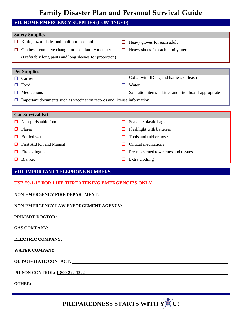## **VII. HOME EMERGENCY SUPPLIES (CONTINUED)**

#### **Safety Supplies**

- $\Box$  Knife, razor blade, and multipurpose tool  $\Box$  Heavy gloves for each adult
- $\Box$  Clothes complete change for each family member
- 
- $\Box$  Heavy shoes for each family member
- (Preferably long pants and long sleeves for protection)

### **Pet Supplies**

- 
- 
- 
- $\Box$  Carrier  $\Box$  Collar with ID tag and harness or leash
- □ Food Nater
- $\Box$  Medications  $\Box$  Sanitation items Litter and litter box if appropriate
- $\Box$  Important documents such as vaccination records and license information

#### **Car Survival Kit**

- 
- 
- 
- $\Box$  First Aid Kit and Manual  $\Box$  Critical medications
- 
- 

# $\Box$  Non-perishable food  $\Box$  Sealable plastic bags

- $\Box$  Flares  $\Box$  Flashlight with batteries
- **T** Bottled water **T** Bottled water
	-
- $\Box$  Fire extinguisher  $\Box$  Pre-moistened towelettes and tissues
- $\Box$  Blanket  $\Box$  Extra clothing

### **VIII. IMPORTANT TELEPHONE NUMBERS**

### **USE "9-1-1" FOR LIFE THREATENING EMERGENCIES ONLY**

| GAS COMPANY:                                 |
|----------------------------------------------|
|                                              |
|                                              |
|                                              |
|                                              |
| OUT-OF-STATE CONTACT: UNIVERSITY CONTACTURES |
|                                              |
|                                              |
|                                              |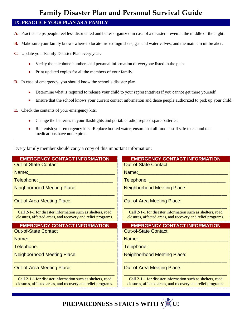# **IX. PRACTICE YOUR PLAN AS A FAMILY**

- **A.** Practice helps people feel less disoriented and better organized in case of a disaster even in the middle of the night.
- **B.** Make sure your family knows where to locate fire extinguishers, gas and water valves, and the main circuit breaker.
- **C.** Update your Family Disaster Plan every year.
	- Verify the telephone numbers and personal information of everyone listed in the plan.
	- Print updated copies for all the members of your family.
- **D.** In case of emergency, you should know the school's disaster plan.
	- Determine what is required to release your child to your representatives if you cannot get there yourself.
	- Ensure that the school knows your current contact information and those people authorized to pick up your child.
- **E.** Check the contents of your emergency kits.
	- Change the batteries in your flashlights and portable radio; replace spare batteries.
	- Replenish your emergency kits. Replace bottled water; ensure that all food is still safe to eat and that medications have not expired.

Every family member should carry a copy of this important information:

| <b>EMERGENCY CONTACT INFORMATION</b>                                                                                      | <b>EMERGENCY CONTACT INFORMATION</b>                                                                                      |
|---------------------------------------------------------------------------------------------------------------------------|---------------------------------------------------------------------------------------------------------------------------|
| <b>Out-of-State Contact</b>                                                                                               | <b>Out-of-State Contact</b>                                                                                               |
| Name: 2008 - 2008 - 2010 - 2010 - 2010 - 2011 - 2021 - 2021 - 2021 - 2021 - 2021 - 2021 - 2021 - 2021 - 2021 -            | <u>Name: William Manuel Manuel Manuel Manuel Manuel Manuel Manuel Manuel Manuel Manuel Manuel Manuel Manuel Manuel Ma</u> |
| Telephone: ________________________________                                                                               | Telephone: __________________________________                                                                             |
| <b>Neighborhood Meeting Place:</b>                                                                                        | <b>Neighborhood Meeting Place:</b>                                                                                        |
| <b>Out-of-Area Meeting Place:</b>                                                                                         | <b>Out-of-Area Meeting Place:</b>                                                                                         |
| Call 2-1-1 for disaster information such as shelters, road<br>closures, affected areas, and recovery and relief programs. | Call 2-1-1 for disaster information such as shelters, road<br>closures, affected areas, and recovery and relief programs. |
|                                                                                                                           |                                                                                                                           |
| <b>EMERGENCY CONTACT INFORMATION</b>                                                                                      | <b>EMERGENCY CONTACT INFORMATION</b>                                                                                      |
| <b>Out-of-State Contact</b>                                                                                               | <b>Out-of-State Contact</b>                                                                                               |
|                                                                                                                           |                                                                                                                           |
| <u> Telephone: __________________________________</u>                                                                     |                                                                                                                           |
| <b>Neighborhood Meeting Place:</b>                                                                                        | <b>Neighborhood Meeting Place:</b>                                                                                        |
| <b>Out-of-Area Meeting Place:</b>                                                                                         | <b>Out-of-Area Meeting Place:</b>                                                                                         |

Call 2-1-1 for disaster information such as shelters, road closures, affected areas, and recovery and relief programs.

Call 2-1-1 for disaster information such as shelters, road closures, affected areas, and recovery and relief programs.